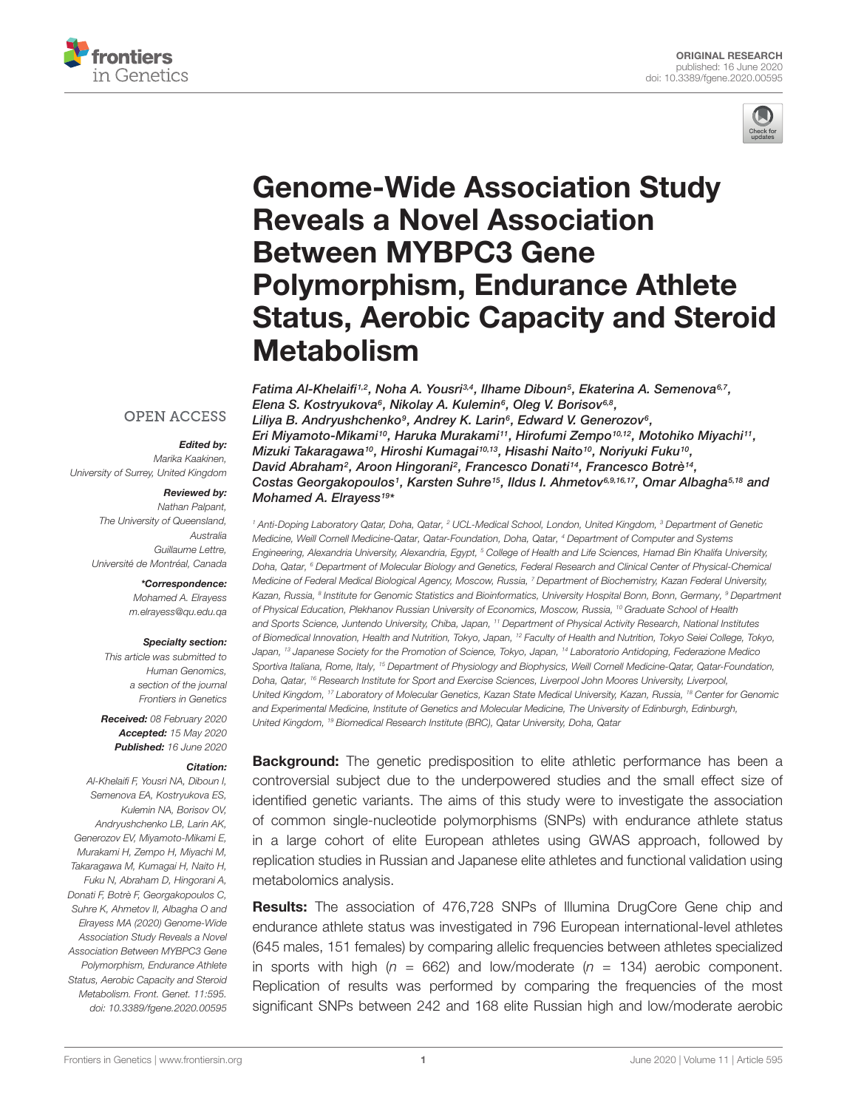



# Genome-Wide Association Study Reveals a Novel Association Between MYBPC3 Gene Polymorphism, Endurance Athlete [Status, Aerobic Capacity and Steroid](https://www.frontiersin.org/articles/10.3389/fgene.2020.00595/full) Metabolism

Fatima Al-Khelaifi1,2, Noha A. Yousri3,4, Ilhame Diboun5, Ekaterina A. Semenova<sup>s,7</sup>, Elena S. Kostryukova<sup>6</sup>, Nikolay A. Kulemin<sup>6</sup>, [Oleg V. Borisov](http://loop.frontiersin.org/people/723983/overview)<sup>6,8</sup>, Liliya B. Andryushchenko<sup>9</sup>, Andrey K. Larin<sup>6</sup>, [Edward V. Generozov](http://loop.frontiersin.org/people/992040/overview)<sup>6</sup>, [Eri Miyamoto-Mikami](http://loop.frontiersin.org/people/905785/overview)1º, Haruka Murakami11, Hirofumi Zempo1º,12, [Motohiko Miyachi](http://loop.frontiersin.org/people/431197/overview)11, Mizuki Takaragawa10, Hiroshi Kumagai10,13, [Hisashi Naito](http://loop.frontiersin.org/people/229544/overview)10, [Noriyuki Fuku](http://loop.frontiersin.org/people/222802/overview)10, [David Abraham](http://loop.frontiersin.org/people/130620/overview)<sup>2</sup>, Aroon Hingorani<sup>2</sup>, Francesco Donati<sup>14</sup>, [Francesco Botrè](http://loop.frontiersin.org/people/668503/overview)<sup>14</sup>, Costas Georgakopoulos1, Karsten Suhre<sup>15</sup>, [Ildus I. Ahmetov](http://loop.frontiersin.org/people/905229/overview)<sup>6,9,16,17</sup>, [Omar Albagha](http://loop.frontiersin.org/people/40172/overview)<sup>5,18</sup> and [Mohamed A. Elrayess](http://loop.frontiersin.org/people/866786/overview)<sup>19\*</sup>

<sup>1</sup> Anti-Doping Laboratory Qatar, Doha, Qatar, <sup>2</sup> UCL-Medical School, London, United Kingdom, <sup>3</sup> Department of Genetic Medicine, Weill Cornell Medicine-Qatar, Qatar-Foundation, Doha, Qatar, <sup>4</sup> Department of Computer and Systems Engineering, Alexandria University, Alexandria, Egypt, <sup>5</sup> College of Health and Life Sciences, Hamad Bin Khalifa University, Doha, Qatar, <sup>6</sup> Department of Molecular Biology and Genetics, Federal Research and Clinical Center of Physical-Chemical Medicine of Federal Medical Biological Agency, Moscow, Russia, <sup>7</sup> Department of Biochemistry, Kazan Federal University, Kazan, Russia, <sup>8</sup> Institute for Genomic Statistics and Bioinformatics, University Hospital Bonn, Bonn, Germany, <sup>9</sup> Department of Physical Education, Plekhanov Russian University of Economics, Moscow, Russia, <sup>10</sup> Graduate School of Health and Sports Science, Juntendo University, Chiba, Japan, <sup>11</sup> Department of Physical Activity Research, National Institutes of Biomedical Innovation, Health and Nutrition, Tokyo, Japan, <sup>12</sup> Faculty of Health and Nutrition, Tokyo Seiei College, Tokyo, Japan, <sup>13</sup> Japanese Society for the Promotion of Science, Tokyo, Japan, <sup>14</sup> Laboratorio Antidoping, Federazione Medico Sportiva Italiana, Rome, Italy, <sup>15</sup> Department of Physiology and Biophysics, Weill Cornell Medicine-Qatar, Qatar-Foundation, Doha, Qatar, <sup>16</sup> Research Institute for Sport and Exercise Sciences, Liverpool John Moores University, Liverpool, United Kingdom, <sup>17</sup> Laboratory of Molecular Genetics, Kazan State Medical University, Kazan, Russia, <sup>18</sup> Center for Genomic and Experimental Medicine, Institute of Genetics and Molecular Medicine, The University of Edinburgh, Edinburgh,

Received: 08 February 2020 Accepted: 15 May 2020 Published: 16 June 2020 United Kingdom, <sup>19</sup> Biomedical Research Institute (BRC), Qatar University, Doha, Qatar

### Citation:

Edited by: Marika Kaakinen,

**OPEN ACCESS** 

Reviewed by: Nathan Palpant,

\*Correspondence: Mohamed A. Elrayess [m.elrayess@qu.edu.qa](mailto:m.elrayess@qu.edu.qa)

Specialty section: This article was submitted to Human Genomics, a section of the journal Frontiers in Genetics

Australia Guillaume Lettre,

University of Surrey, United Kingdom

The University of Queensland,

Université de Montréal, Canada

Al-Khelaifi F, Yousri NA, Diboun I, Semenova EA, Kostryukova ES, Kulemin NA, Borisov OV, Andryushchenko LB, Larin AK, Generozov EV, Miyamoto-Mikami E, Murakami H, Zempo H, Miyachi M, Takaragawa M, Kumagai H, Naito H, Fuku N, Abraham D, Hingorani A, Donati F, Botrè F, Georgakopoulos C, Suhre K, Ahmetov II, Albagha O and Elrayess MA (2020) Genome-Wide Association Study Reveals a Novel Association Between MYBPC3 Gene Polymorphism, Endurance Athlete Status, Aerobic Capacity and Steroid Metabolism. Front. Genet. 11:595. doi: [10.3389/fgene.2020.00595](https://doi.org/10.3389/fgene.2020.00595)

**Background:** The genetic predisposition to elite athletic performance has been a controversial subject due to the underpowered studies and the small effect size of identified genetic variants. The aims of this study were to investigate the association of common single-nucleotide polymorphisms (SNPs) with endurance athlete status in a large cohort of elite European athletes using GWAS approach, followed by replication studies in Russian and Japanese elite athletes and functional validation using metabolomics analysis.

Results: The association of 476,728 SNPs of Illumina DrugCore Gene chip and endurance athlete status was investigated in 796 European international-level athletes (645 males, 151 females) by comparing allelic frequencies between athletes specialized in sports with high ( $n = 662$ ) and low/moderate ( $n = 134$ ) aerobic component. Replication of results was performed by comparing the frequencies of the most significant SNPs between 242 and 168 elite Russian high and low/moderate aerobic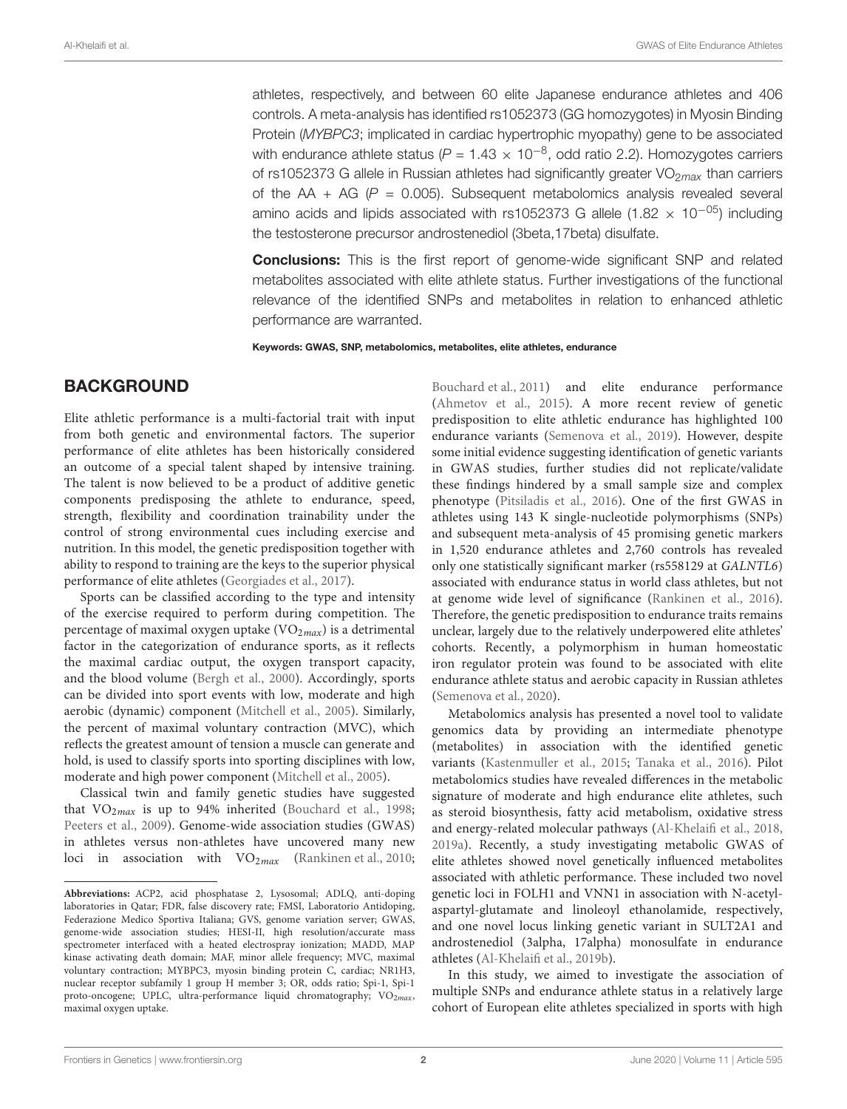athletes, respectively, and between 60 elite Japanese endurance athletes and 406 controls. A meta-analysis has identified rs1052373 (GG homozygotes) in Myosin Binding Protein (MYBPC3; implicated in cardiac hypertrophic myopathy) gene to be associated with endurance athlete status ( $P = 1.43 \times 10^{-8}$ , odd ratio 2.2). Homozygotes carriers of rs1052373 G allele in Russian athletes had significantly greater  $VO<sub>2max</sub>$  than carriers of the AA + AG ( $P = 0.005$ ). Subsequent metabolomics analysis revealed several amino acids and lipids associated with rs1052373 G allele (1.82  $\times$  10<sup>-05</sup>) including the testosterone precursor androstenediol (3beta,17beta) disulfate.

**Conclusions:** This is the first report of genome-wide significant SNP and related metabolites associated with elite athlete status. Further investigations of the functional relevance of the identified SNPs and metabolites in relation to enhanced athletic performance are warranted.

Keywords: GWAS, SNP, metabolomics, metabolites, elite athletes, endurance

### BACKGROUND

Elite athletic performance is a multi-factorial trait with input from both genetic and environmental factors. The superior performance of elite athletes has been historically considered an outcome of a special talent shaped by intensive training. The talent is now believed to be a product of additive genetic components predisposing the athlete to endurance, speed, strength, flexibility and coordination trainability under the control of strong environmental cues including exercise and nutrition. In this model, the genetic predisposition together with ability to respond to training are the keys to the superior physical performance of elite athletes [\(Georgiades et al.,](#page-9-0) [2017\)](#page-9-0).

Sports can be classified according to the type and intensity of the exercise required to perform during competition. The percentage of maximal oxygen uptake  $(VO_{2max})$  is a detrimental factor in the categorization of endurance sports, as it reflects the maximal cardiac output, the oxygen transport capacity, and the blood volume [\(Bergh et al.,](#page-9-1) [2000\)](#page-9-1). Accordingly, sports can be divided into sport events with low, moderate and high aerobic (dynamic) component [\(Mitchell et al.,](#page-9-2) [2005\)](#page-9-2). Similarly, the percent of maximal voluntary contraction (MVC), which reflects the greatest amount of tension a muscle can generate and hold, is used to classify sports into sporting disciplines with low, moderate and high power component [\(Mitchell et al.,](#page-9-2) [2005\)](#page-9-2).

Classical twin and family genetic studies have suggested that  $VO<sub>2max</sub>$  is up to 94% inherited [\(Bouchard et al.,](#page-9-3) [1998;](#page-9-3) [Peeters et al.,](#page-10-0) [2009\)](#page-10-0). Genome-wide association studies (GWAS) in athletes versus non-athletes have uncovered many new loci in association with  $VO<sub>2max</sub>$  [\(Rankinen et al.,](#page-10-1) [2010;](#page-10-1)

[Bouchard et al.,](#page-9-4) [2011\)](#page-9-4) and elite endurance performance [\(Ahmetov et al.,](#page-9-5) [2015\)](#page-9-5). A more recent review of genetic predisposition to elite athletic endurance has highlighted 100 endurance variants [\(Semenova et al.,](#page-10-2) [2019\)](#page-10-2). However, despite some initial evidence suggesting identification of genetic variants in GWAS studies, further studies did not replicate/validate these findings hindered by a small sample size and complex phenotype [\(Pitsiladis et al.,](#page-10-3) [2016\)](#page-10-3). One of the first GWAS in athletes using 143 K single-nucleotide polymorphisms (SNPs) and subsequent meta-analysis of 45 promising genetic markers in 1,520 endurance athletes and 2,760 controls has revealed only one statistically significant marker (rs558129 at GALNTL6) associated with endurance status in world class athletes, but not at genome wide level of significance [\(Rankinen et al.,](#page-10-4) [2016\)](#page-10-4). Therefore, the genetic predisposition to endurance traits remains unclear, largely due to the relatively underpowered elite athletes' cohorts. Recently, a polymorphism in human homeostatic iron regulator protein was found to be associated with elite endurance athlete status and aerobic capacity in Russian athletes [\(Semenova et al.,](#page-10-5) [2020\)](#page-10-5).

Metabolomics analysis has presented a novel tool to validate genomics data by providing an intermediate phenotype (metabolites) in association with the identified genetic variants [\(Kastenmuller et al.,](#page-9-6) [2015;](#page-9-6) [Tanaka et al.,](#page-10-6) [2016\)](#page-10-6). Pilot metabolomics studies have revealed differences in the metabolic signature of moderate and high endurance elite athletes, such as steroid biosynthesis, fatty acid metabolism, oxidative stress and energy-related molecular pathways [\(Al-Khelaifi et al.,](#page-9-7) [2018,](#page-9-7) [2019a\)](#page-9-8). Recently, a study investigating metabolic GWAS of elite athletes showed novel genetically influenced metabolites associated with athletic performance. These included two novel genetic loci in FOLH1 and VNN1 in association with N-acetylaspartyl-glutamate and linoleoyl ethanolamide, respectively, and one novel locus linking genetic variant in SULT2A1 and androstenediol (3alpha, 17alpha) monosulfate in endurance athletes [\(Al-Khelaifi et al.,](#page-9-9) [2019b\)](#page-9-9).

In this study, we aimed to investigate the association of multiple SNPs and endurance athlete status in a relatively large cohort of European elite athletes specialized in sports with high

**Abbreviations:** ACP2, acid phosphatase 2, Lysosomal; ADLQ, anti-doping laboratories in Qatar; FDR, false discovery rate; FMSI, Laboratorio Antidoping, Federazione Medico Sportiva Italiana; GVS, genome variation server; GWAS, genome-wide association studies; HESI-II, high resolution/accurate mass spectrometer interfaced with a heated electrospray ionization; MADD, MAP kinase activating death domain; MAF, minor allele frequency; MVC, maximal voluntary contraction; MYBPC3, myosin binding protein C, cardiac; NR1H3, nuclear receptor subfamily 1 group H member 3; OR, odds ratio; Spi-1, Spi-1 proto-oncogene; UPLC, ultra-performance liquid chromatography;  $VO<sub>2max</sub>$ , maximal oxygen uptake.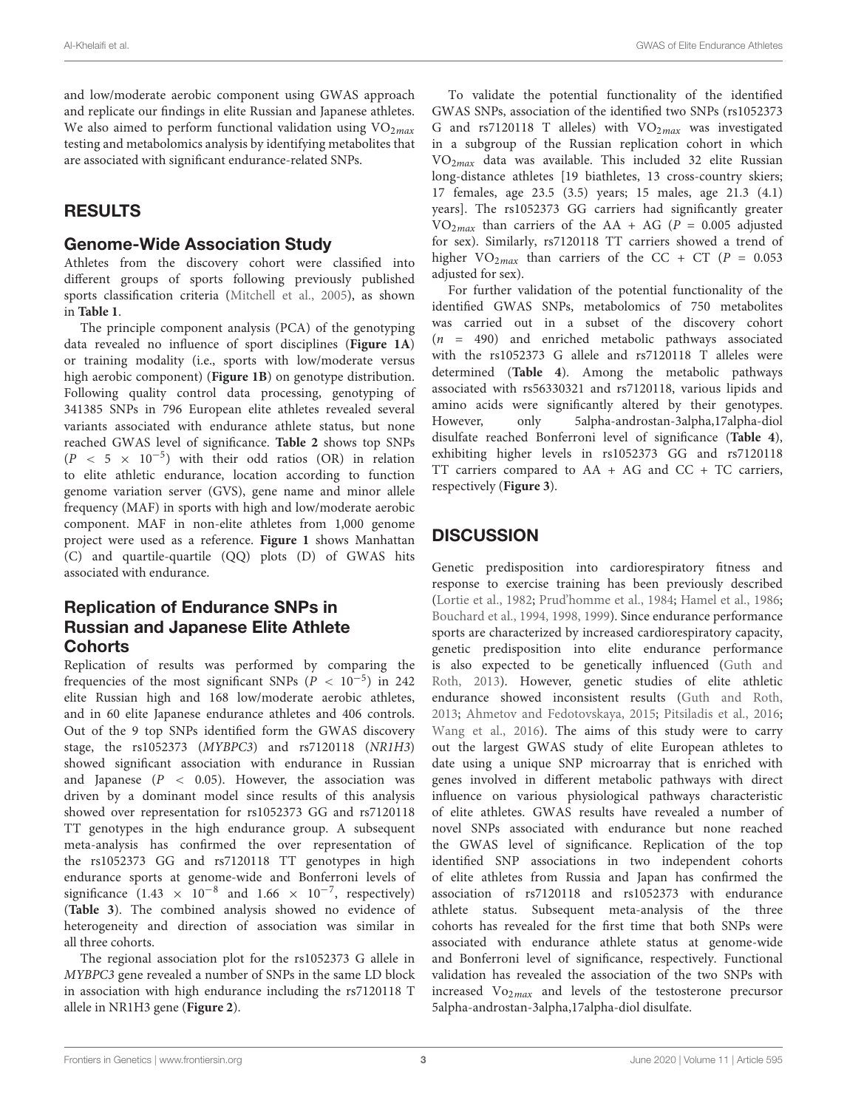and low/moderate aerobic component using GWAS approach and replicate our findings in elite Russian and Japanese athletes. We also aimed to perform functional validation using  $VO<sub>2max</sub>$ testing and metabolomics analysis by identifying metabolites that are associated with significant endurance-related SNPs.

### RESULTS

### Genome-Wide Association Study

Athletes from the discovery cohort were classified into different groups of sports following previously published sports classification criteria [\(Mitchell et al.,](#page-9-2) [2005\)](#page-9-2), as shown in **[Table 1](#page-3-0)**.

The principle component analysis (PCA) of the genotyping data revealed no influence of sport disciplines (**[Figure 1A](#page-3-1)**) or training modality (i.e., sports with low/moderate versus high aerobic component) (**[Figure 1B](#page-3-1)**) on genotype distribution. Following quality control data processing, genotyping of 341385 SNPs in 796 European elite athletes revealed several variants associated with endurance athlete status, but none reached GWAS level of significance. **[Table 2](#page-4-0)** shows top SNPs  $(P < 5 \times 10^{-5})$  with their odd ratios (OR) in relation to elite athletic endurance, location according to function genome variation server (GVS), gene name and minor allele frequency (MAF) in sports with high and low/moderate aerobic component. MAF in non-elite athletes from 1,000 genome project were used as a reference. **[Figure 1](#page-3-1)** shows Manhattan (C) and quartile-quartile (QQ) plots (D) of GWAS hits associated with endurance.

## Replication of Endurance SNPs in Russian and Japanese Elite Athlete **Cohorts**

Replication of results was performed by comparing the frequencies of the most significant SNPs ( $\dot{P}$  < 10<sup>-5</sup>) in 242 elite Russian high and 168 low/moderate aerobic athletes, and in 60 elite Japanese endurance athletes and 406 controls. Out of the 9 top SNPs identified form the GWAS discovery stage, the rs1052373 (MYBPC3) and rs7120118 (NR1H3) showed significant association with endurance in Russian and Japanese  $(P < 0.05)$ . However, the association was driven by a dominant model since results of this analysis showed over representation for rs1052373 GG and rs7120118 TT genotypes in the high endurance group. A subsequent meta-analysis has confirmed the over representation of the rs1052373 GG and rs7120118 TT genotypes in high endurance sports at genome-wide and Bonferroni levels of significance  $(1.43 \times 10^{-8}$  and  $1.66 \times 10^{-7}$ , respectively) (**[Table 3](#page-5-0)**). The combined analysis showed no evidence of heterogeneity and direction of association was similar in all three cohorts.

The regional association plot for the rs1052373 G allele in MYBPC3 gene revealed a number of SNPs in the same LD block in association with high endurance including the rs7120118 T allele in NR1H3 gene (**[Figure 2](#page-6-0)**).

To validate the potential functionality of the identified GWAS SNPs, association of the identified two SNPs (rs1052373 G and rs7120118 T alleles) with  $VO<sub>2max</sub>$  was investigated in a subgroup of the Russian replication cohort in which VO2max data was available. This included 32 elite Russian long-distance athletes [19 biathletes, 13 cross-country skiers; 17 females, age 23.5 (3.5) years; 15 males, age 21.3 (4.1) years]. The rs1052373 GG carriers had significantly greater  $VO<sub>2max</sub>$  than carriers of the AA + AG (P = 0.005 adjusted for sex). Similarly, rs7120118 TT carriers showed a trend of higher  $VO<sub>2max</sub>$  than carriers of the CC + CT (P = 0.053) adjusted for sex).

For further validation of the potential functionality of the identified GWAS SNPs, metabolomics of 750 metabolites was carried out in a subset of the discovery cohort  $(n = 490)$  and enriched metabolic pathways associated with the rs1052373 G allele and rs7120118 T alleles were determined (**[Table 4](#page-6-1)**). Among the metabolic pathways associated with rs56330321 and rs7120118, various lipids and amino acids were significantly altered by their genotypes. However, only 5alpha-androstan-3alpha,17alpha-diol disulfate reached Bonferroni level of significance (**[Table 4](#page-6-1)**), exhibiting higher levels in rs1052373 GG and rs7120118 TT carriers compared to AA + AG and CC + TC carriers, respectively (**[Figure 3](#page-7-0)**).

# **DISCUSSION**

Genetic predisposition into cardiorespiratory fitness and response to exercise training has been previously described [\(Lortie et al.,](#page-9-10) [1982;](#page-9-10) [Prud'homme et al.,](#page-10-7) [1984;](#page-10-7) [Hamel et al.,](#page-9-11) [1986;](#page-9-11) [Bouchard et al.,](#page-9-12) [1994,](#page-9-12) [1998,](#page-9-3) [1999\)](#page-9-13). Since endurance performance sports are characterized by increased cardiorespiratory capacity, genetic predisposition into elite endurance performance is also expected to be genetically influenced [\(Guth and](#page-9-14) [Roth,](#page-9-14) [2013\)](#page-9-14). However, genetic studies of elite athletic endurance showed inconsistent results [\(Guth and Roth,](#page-9-14) [2013;](#page-9-14) [Ahmetov and Fedotovskaya,](#page-9-15) [2015;](#page-9-15) [Pitsiladis et al.,](#page-10-3) [2016;](#page-10-3) [Wang et al.,](#page-10-8) [2016\)](#page-10-8). The aims of this study were to carry out the largest GWAS study of elite European athletes to date using a unique SNP microarray that is enriched with genes involved in different metabolic pathways with direct influence on various physiological pathways characteristic of elite athletes. GWAS results have revealed a number of novel SNPs associated with endurance but none reached the GWAS level of significance. Replication of the top identified SNP associations in two independent cohorts of elite athletes from Russia and Japan has confirmed the association of rs7120118 and rs1052373 with endurance athlete status. Subsequent meta-analysis of the three cohorts has revealed for the first time that both SNPs were associated with endurance athlete status at genome-wide and Bonferroni level of significance, respectively. Functional validation has revealed the association of the two SNPs with increased Vo2max and levels of the testosterone precursor 5alpha-androstan-3alpha,17alpha-diol disulfate.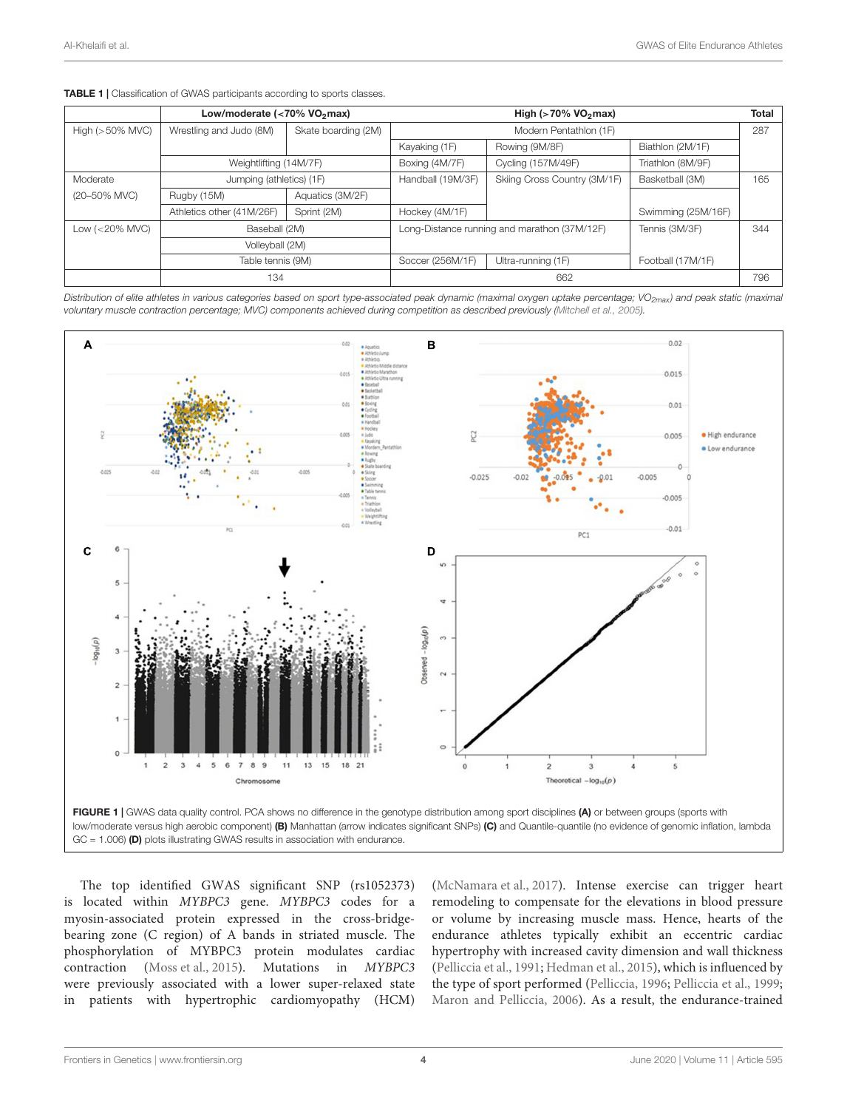|                    | Low/moderate (<70% VO <sub>2</sub> max) |                     | High ( $>70\%$ VO <sub>2</sub> max)                            |                              |                    |     |
|--------------------|-----------------------------------------|---------------------|----------------------------------------------------------------|------------------------------|--------------------|-----|
| High $(>50\%$ MVC) | Wrestling and Judo (8M)                 | Skate boarding (2M) | Modern Pentathlon (1F)                                         |                              |                    |     |
|                    |                                         |                     | Kayaking (1F)                                                  | Rowing (9M/8F)               | Biathlon (2M/1F)   |     |
|                    | Weightlifting (14M/7F)                  |                     | Boxing (4M/7F)                                                 | Cycling (157M/49F)           | Triathlon (8M/9F)  |     |
| Moderate           | Jumping (athletics) (1F)                |                     | Handball (19M/3F)                                              | Skiing Cross Country (3M/1F) | Basketball (3M)    | 165 |
| (20-50% MVC)       | Rugby (15M)                             | Aquatics (3M/2F)    |                                                                |                              |                    |     |
|                    | Athletics other (41M/26F)               | Sprint (2M)         | Hockey (4M/1F)                                                 |                              | Swimming (25M/16F) |     |
| Low $(<20\%$ MVC)  | Baseball (2M)                           |                     | Long-Distance running and marathon (37M/12F)<br>Tennis (3M/3F) |                              |                    |     |
|                    | Volleyball (2M)                         |                     |                                                                |                              |                    |     |
|                    | Table tennis (9M)                       |                     | Soccer (256M/1F)                                               | Ultra-running (1F)           | Football (17M/1F)  |     |
|                    | 134                                     |                     | 662                                                            |                              |                    |     |

<span id="page-3-0"></span>**TABLE 1** | Classification of GWAS participants according to sports classes.

Distribution of elite athletes in various categories based on sport type-associated peak dynamic (maximal oxygen uptake percentage; VO<sub>2max</sub>) and peak static (maximal voluntary muscle contraction percentage; MVC) components achieved during competition as described previously [\(Mitchell et al.,](#page-9-2) [2005\)](#page-9-2).



<span id="page-3-1"></span>GC = 1.006) (D) plots illustrating GWAS results in association with endurance.

The top identified GWAS significant SNP (rs1052373) is located within MYBPC3 gene. MYBPC3 codes for a myosin-associated protein expressed in the cross-bridgebearing zone (C region) of A bands in striated muscle. The phosphorylation of MYBPC3 protein modulates cardiac contraction [\(Moss et al.,](#page-10-9) [2015\)](#page-10-9). Mutations in MYBPC3 were previously associated with a lower super-relaxed state in patients with hypertrophic cardiomyopathy (HCM)

[\(McNamara et al.,](#page-9-16) [2017\)](#page-9-16). Intense exercise can trigger heart remodeling to compensate for the elevations in blood pressure or volume by increasing muscle mass. Hence, hearts of the endurance athletes typically exhibit an eccentric cardiac hypertrophy with increased cavity dimension and wall thickness [\(Pelliccia et al.,](#page-10-10) [1991;](#page-10-10) [Hedman et al.,](#page-9-17) [2015\)](#page-9-17), which is influenced by the type of sport performed [\(Pelliccia,](#page-10-11) [1996;](#page-10-11) [Pelliccia et al.,](#page-10-12) [1999;](#page-10-12) [Maron and Pelliccia,](#page-9-18) [2006\)](#page-9-18). As a result, the endurance-trained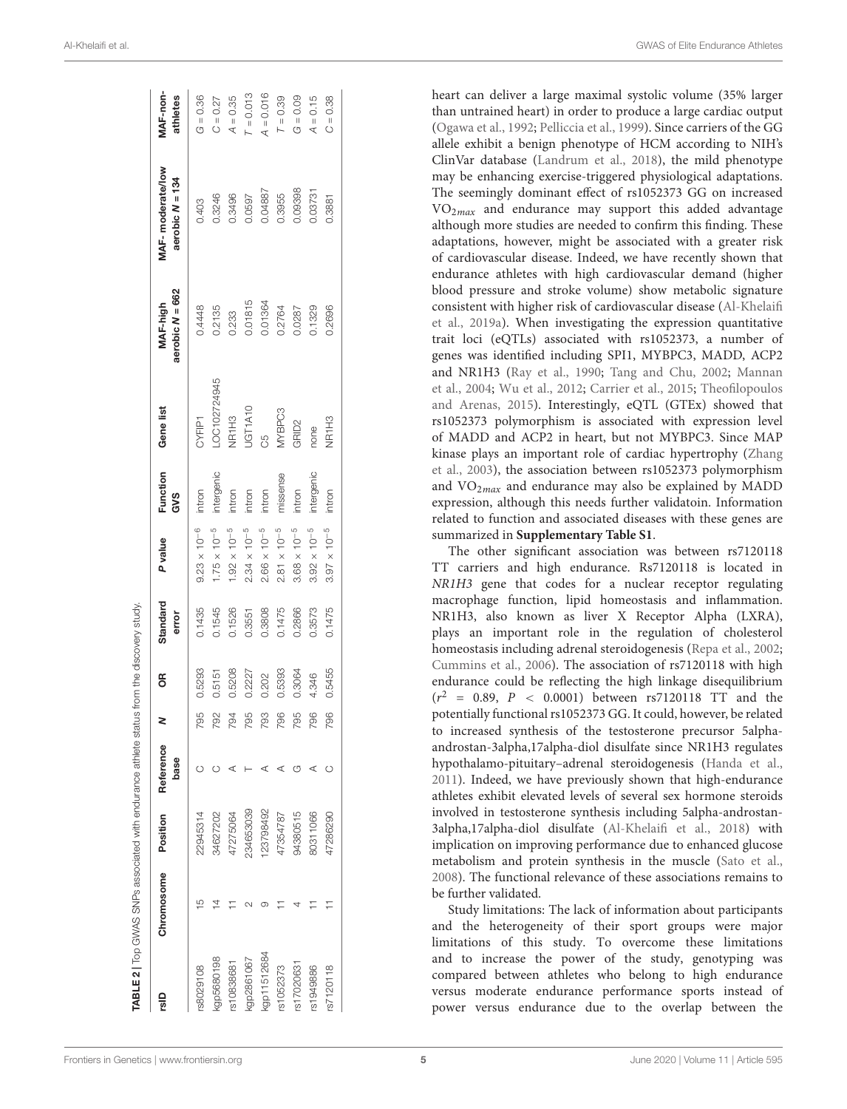| alp         | Chromosome | Position  | Reference |     | $\frac{1}{2}$ | Standard | P value               | Function   | Gene list         | MAF-high          | MAF-moderate/low  | <b>MAF-non-</b> |
|-------------|------------|-----------|-----------|-----|---------------|----------|-----------------------|------------|-------------------|-------------------|-------------------|-----------------|
|             |            |           | base      |     |               | error    |                       | <b>GVS</b> |                   | aerobic $N = 662$ | aerobic $N = 134$ | athletes        |
| 38029108    |            | 22945314  |           | 795 | 0.5293        | 0.1435   | $9.23\times10^{-6}$   | intron     | CYFIP1            | 0.4448            | 0.403             | $G = 0.36$      |
| kgp5680198  |            | 34627202  |           | 792 | 0.5151        | 0.1545   | $1.75 \times 10^{-5}$ | intergenic | -OC102724945      | 0.2135            | 0.3246            | $C = 0.27$      |
| rs10838681  |            | 47275064  |           | 794 | 0.5208        | 0.1526   | $1.92 \times 10^{-5}$ | intron     | NR1H3             | 0.233             | 0.3496            | $A = 0.35$      |
| kgp2861067  |            | 234653039 |           | 795 | 0.2227        | 0.3551   | $2.34\times10^{-5}$   | intron     | UGT1A10           | 0.01815           | 0.0597            | $T = 0.013$     |
| kgp11512684 |            | 23798492  |           | 793 | 0.202         | 0.3808   | $2.66\times10^{-5}$   | intron     | C5                | 0.01364           | 0.04887           | $A = 0.016$     |
| rs1052373   |            | 47354787  |           | 796 | 0.5393        | 0.1475   | $2.81 \times 10^{-5}$ | missense   | MYBPC3            | 0.2764            | 0.3955            | $T = 0.39$      |
| rs17020631  |            | 94380515  |           | 795 | 0.3064        | 0.2866   | $3.68 \times 10^{-5}$ | intron     | GRID <sub>2</sub> | 0.0287            | 0.09398           | $G = 0.09$      |
| rs1949886   |            | 30311066  |           | 796 | 4.346         | 0.3573   | $3.92\times10^{-5}$   | intergenic | none              | 0.1329            | 0.03731           | $A = 0.15$      |
| rs7120118   |            | 47286290  |           | 796 | 0.5455        | 0.1475   | $3.97 \times 10^{-5}$ | intron     | NR1H3             | 0.2696            | 0.3881            | $C = 0.38$      |

heart can deliver a large maximal systolic volume (35% larger than untrained heart) in order to produce a large cardiac output [\(Ogawa et al.,](#page-10-13) [1992;](#page-10-13) [Pelliccia et al.,](#page-10-12) [1999\)](#page-10-12). Since carriers of the GG allele exhibit a benign phenotype of HCM according to NIH's ClinVar database [\(Landrum et al.,](#page-9-19) [2018\)](#page-9-19), the mild phenotype may be enhancing exercise-triggered physiological adaptations. The seemingly dominant effect of rs1052373 GG on increased  $VO<sub>2max</sub>$  and endurance may support this added advantage although more studies are needed to confirm this finding. These adaptations, however, might be associated with a greater risk of cardiovascular disease. Indeed, we have recently shown that endurance athletes with high cardiovascular demand (higher blood pressure and stroke volume) show metabolic signature consistent with higher risk of cardiovascular disease [\(Al-Khelaifi](#page-9-8) [et al.,](#page-9-8) [2019a\)](#page-9-8). When investigating the expression quantitative trait loci (eQTLs) associated with rs1052373, a number of genes was identified including SPI1, MYBPC3, MADD, ACP2 and NR1H3 [\(Ray et al.,](#page-10-14) [1990;](#page-10-14) [Tang and Chu,](#page-10-15) [2002;](#page-10-15) [Mannan](#page-9-20) [et al.,](#page-9-20) [2004;](#page-9-20) [Wu et al.,](#page-10-16) [2012;](#page-10-16) [Carrier et al.,](#page-9-21) [2015;](#page-9-21) [Theofilopoulos](#page-10-17) [and Arenas,](#page-10-17) [2015\)](#page-10-17). Interestingly, eQTL (GTEx) showed that rs1052373 polymorphism is associated with expression level of MADD and ACP2 in heart, but not MYBPC3. Since MAP kinase plays an important role of cardiac hypertrophy [\(Zhang](#page-10-18) [et al.,](#page-10-18) [2003\)](#page-10-18), the association between rs1052373 polymorphism and  $VO<sub>2max</sub>$  and endurance may also be explained by MADD expression, although this needs further validatoin. Information related to function and associated diseases with these genes are summarized in **[Supplementary Table S1](#page-9-22)**.

The other significant association was between rs7120118 TT carriers and high endurance. Rs7120118 is located in NR1H3 gene that codes for a nuclear receptor regulating macrophage function, lipid homeostasis and inflammation. NR1H3, also known as liver X Receptor Alpha (LXRA), plays an important role in the regulation of cholesterol homeostasis including adrenal steroidogenesis [\(Repa et al.,](#page-10-19) [2002;](#page-10-19) [Cummins et al.,](#page-9-23) [2006\)](#page-9-23). The association of rs7120118 with high endurance could be reflecting the high linkage disequilibrium  $(r^2 = 0.89, P < 0.0001)$  between rs7120118 TT and the potentially functional rs1052373 GG. It could, however, be related to increased synthesis of the testosterone precursor 5alphaandrostan-3alpha,17alpha-diol disulfate since NR1H3 regulates hypothalamo-pituitary–adrenal steroidogenesis [\(Handa et al.,](#page-9-24) [2011\)](#page-9-24). Indeed, we have previously shown that high-endurance athletes exhibit elevated levels of several sex hormone steroids involved in testosterone synthesis including 5alpha-androstan-3alpha,17alpha-diol disulfate [\(Al-Khelaifi et al.,](#page-9-7) [2018\)](#page-9-7) with implication on improving performance due to enhanced glucose metabolism and protein synthesis in the muscle [\(Sato et al.,](#page-10-20) [2008\)](#page-10-20). The functional relevance of these associations remains to be further validated.

<span id="page-4-0"></span>Study limitations: The lack of information about participants and the heterogeneity of their sport groups were major limitations of this study. To overcome these limitations and to increase the power of the study, genotyping was compared between athletes who belong to high endurance versus moderate endurance performance sports instead of power versus endurance due to the overlap between the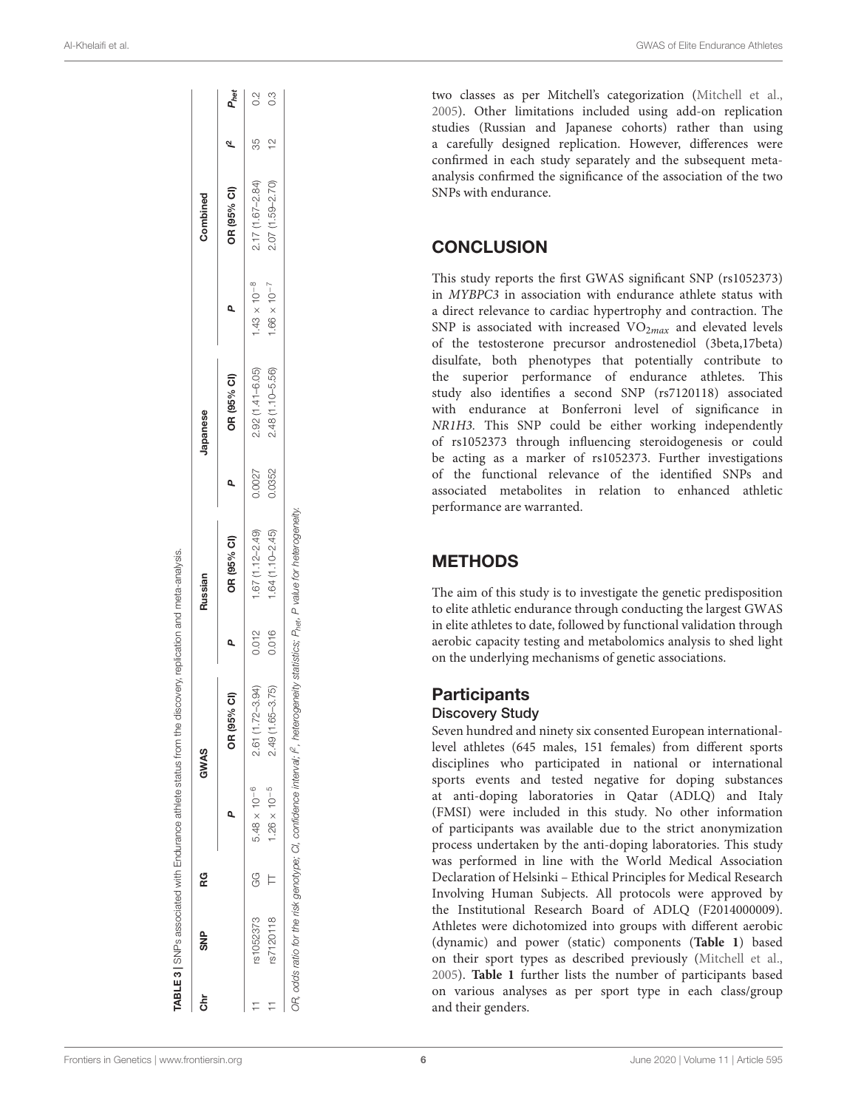| క్టే | ይ<br>ማ    | ၉             |                       | GWAS                |       | Russian             |        | Japanese            |                       | Combined            |               |                  |
|------|-----------|---------------|-----------------------|---------------------|-------|---------------------|--------|---------------------|-----------------------|---------------------|---------------|------------------|
|      |           |               | ۵                     | OR (95% CI)         | ۵     | OR (95% CI)         | Q      | OR (95% CI)         | Q                     | OR (95% CI)         |               | P <sub>het</sub> |
|      | rs1052373 | G             | $5.48 \times 10^{-6}$ | 2.61 (1.72-3.94)    | 0.012 | $1.67(1.12 - 2.49)$ | 0.0027 | $2.92(1.41 - 6.05)$ | $1.43 \times 10^{-8}$ | $2.17(1.67 - 2.84)$ | 35            | $\frac{2}{3}$    |
|      | rs7120118 | $\frac{1}{2}$ | $1.26 \times 10^{-5}$ | $2.49(1.65 - 3.75)$ | 0.016 | $1.64(1.10 - 2.45)$ | 0.0352 | 2.48 (1.10-5.56)    | $1.66 \times 10^{-7}$ | $2.07(1.59 - 2.70)$ | $\frac{1}{2}$ | 0.3              |

two classes as per Mitchell's categorization [\(Mitchell et al.](#page-9-2) , [2005\)](#page-9-2). Other limitations included using add-on replication studies (Russian and Japanese cohorts) rather than using a carefully designed replication. However, differences were confirmed in each study separately and the subsequent metaanalysis confirmed the significance of the association of the two SNPs with endurance.

### **CONCLUSION**

This study reports the first GWAS significant SNP (rs1052373) in MYBPC3 in association with endurance athlete status with a direct relevance to cardiac hypertrophy and contraction. The SNP is associated with increased  $VO<sub>2max</sub>$  and elevated levels of the testosterone precursor androstenediol (3beta,17beta) disulfate, both phenotypes that potentially contribute to the superior performance of endurance athletes. This study also identifies a second SNP (rs7120118) associated with endurance at Bonferroni level of significance in NR1H3. This SNP could be either working independently of rs1052373 through influencing steroidogenesis or could be acting as a marker of rs1052373. Further investigations of the functional relevance of the identified SNPs and associated metabolites in relation to enhanced athletic performance are warranted.

### **METHODS**

The aim of this study is to investigate the genetic predisposition to elite athletic endurance through conducting the largest GWAS in elite athletes to date, followed by functional validation through aerobic capacity testing and metabolomics analysis to shed light on the underlying mechanisms of genetic associations.

### **Participants**

### Discovery Study

<span id="page-5-0"></span>Seven hundred and ninety six consented European internationallevel athletes (645 males, 151 females) from different sports disciplines who participated in national or international sports events and tested negative for doping substances at anti-doping laboratories in Qatar (ADLQ) and Italy (FMSI) were included in this study. No other information of participants was available due to the strict anonymization process undertaken by the anti-doping laboratories. This study was performed in line with the World Medical Association Declaration of Helsinki – Ethical Principles for Medical Research Involving Human Subjects. All protocols were approved by the Institutional Research Board of ADLQ (F2014000009). Athletes were dichotomized into groups with different aerobic (dynamic) and power (static) components (**[Table 1](#page-3-0)**) based on their sport types as described previously [\(Mitchell et al.](#page-9-2) , [2005\)](#page-9-2). **[Table 1](#page-3-0)** further lists the number of participants based on various analyses as per sport type in each class/group and their genders.

ABLE 3 | SNPs associated with Endurance athlete status from the discovery, replication and meta-analysis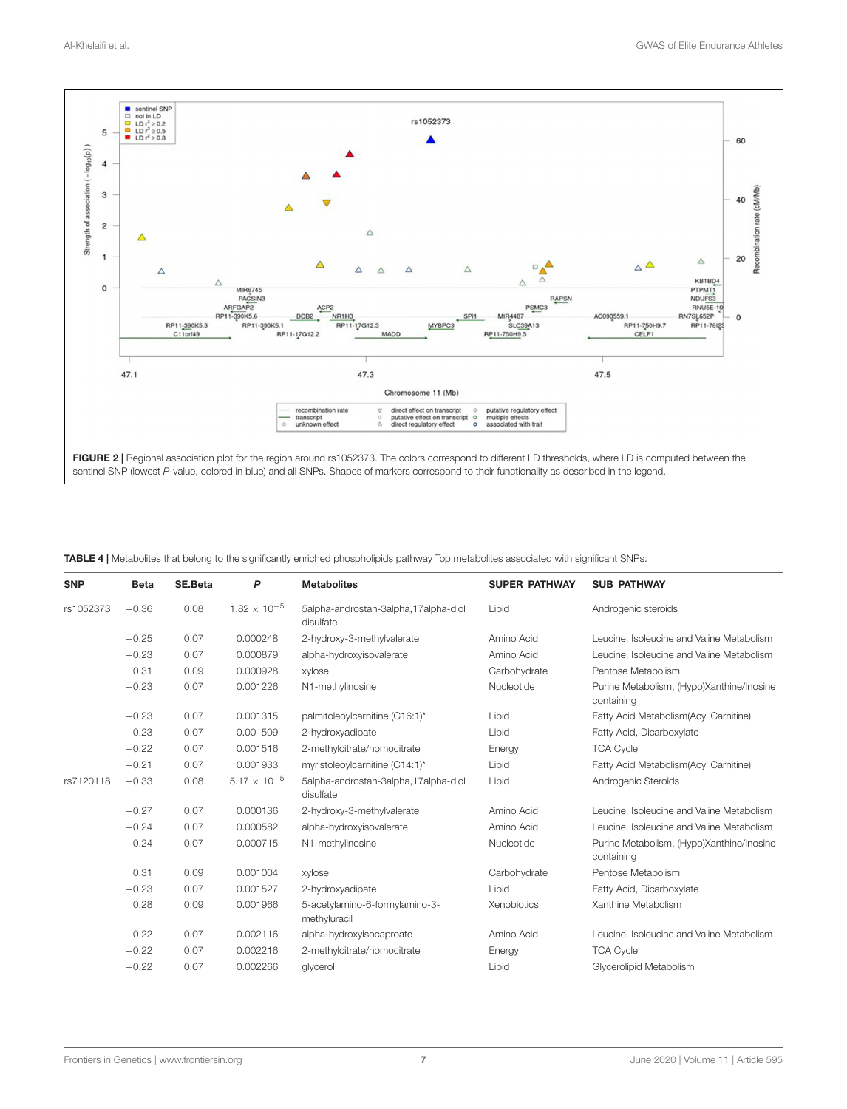

<span id="page-6-1"></span><span id="page-6-0"></span>TABLE 4 | Metabolites that belong to the significantly enriched phospholipids pathway Top metabolites associated with significant SNPs.

| <b>SNP</b> | <b>Beta</b> | SE.Beta | P                     | <b>Metabolites</b>                                | <b>SUPER PATHWAY</b> | <b>SUB PATHWAY</b>                                      |
|------------|-------------|---------|-----------------------|---------------------------------------------------|----------------------|---------------------------------------------------------|
| rs1052373  | $-0.36$     | 0.08    | $1.82 \times 10^{-5}$ | 5alpha-androstan-3alpha,17alpha-diol<br>disulfate | Lipid                | Androgenic steroids                                     |
|            | $-0.25$     | 0.07    | 0.000248              | 2-hydroxy-3-methylvalerate                        | Amino Acid           | Leucine, Isoleucine and Valine Metabolism               |
|            | $-0.23$     | 0.07    | 0.000879              | alpha-hydroxyisovalerate                          | Amino Acid           | Leucine, Isoleucine and Valine Metabolism               |
|            | 0.31        | 0.09    | 0.000928              | xylose                                            | Carbohydrate         | Pentose Metabolism                                      |
|            | $-0.23$     | 0.07    | 0.001226              | N1-methylinosine                                  | Nucleotide           | Purine Metabolism, (Hypo)Xanthine/Inosine<br>containing |
|            | $-0.23$     | 0.07    | 0.001315              | palmitoleoylcarnitine (C16:1)*                    | Lipid                | Fatty Acid Metabolism (Acyl Carnitine)                  |
|            | $-0.23$     | 0.07    | 0.001509              | 2-hydroxyadipate                                  | Lipid                | Fatty Acid, Dicarboxylate                               |
|            | $-0.22$     | 0.07    | 0.001516              | 2-methylcitrate/homocitrate                       | Energy               | <b>TCA Cycle</b>                                        |
|            | $-0.21$     | 0.07    | 0.001933              | myristoleoylcarnitine (C14:1)*                    | Lipid                | Fatty Acid Metabolism (Acyl Carnitine)                  |
| rs7120118  | $-0.33$     | 0.08    | $5.17 \times 10^{-5}$ | 5alpha-androstan-3alpha,17alpha-diol<br>disulfate | Lipid                | Androgenic Steroids                                     |
|            | $-0.27$     | 0.07    | 0.000136              | 2-hydroxy-3-methylvalerate                        | Amino Acid           | Leucine, Isoleucine and Valine Metabolism               |
|            | $-0.24$     | 0.07    | 0.000582              | alpha-hydroxyisovalerate                          | Amino Acid           | Leucine, Isoleucine and Valine Metabolism               |
|            | $-0.24$     | 0.07    | 0.000715              | N1-methylinosine                                  | Nucleotide           | Purine Metabolism, (Hypo)Xanthine/Inosine<br>containing |
|            | 0.31        | 0.09    | 0.001004              | xylose                                            | Carbohydrate         | Pentose Metabolism                                      |
|            | $-0.23$     | 0.07    | 0.001527              | 2-hydroxyadipate                                  | Lipid                | Fatty Acid, Dicarboxylate                               |
|            | 0.28        | 0.09    | 0.001966              | 5-acetylamino-6-formylamino-3-<br>methyluracil    | Xenobiotics          | Xanthine Metabolism                                     |
|            | $-0.22$     | 0.07    | 0.002116              | alpha-hydroxyisocaproate                          | Amino Acid           | Leucine, Isoleucine and Valine Metabolism               |
|            | $-0.22$     | 0.07    | 0.002216              | 2-methylcitrate/homocitrate                       | Energy               | <b>TCA Cycle</b>                                        |
|            | $-0.22$     | 0.07    | 0.002266              | glycerol                                          | Lipid                | Glycerolipid Metabolism                                 |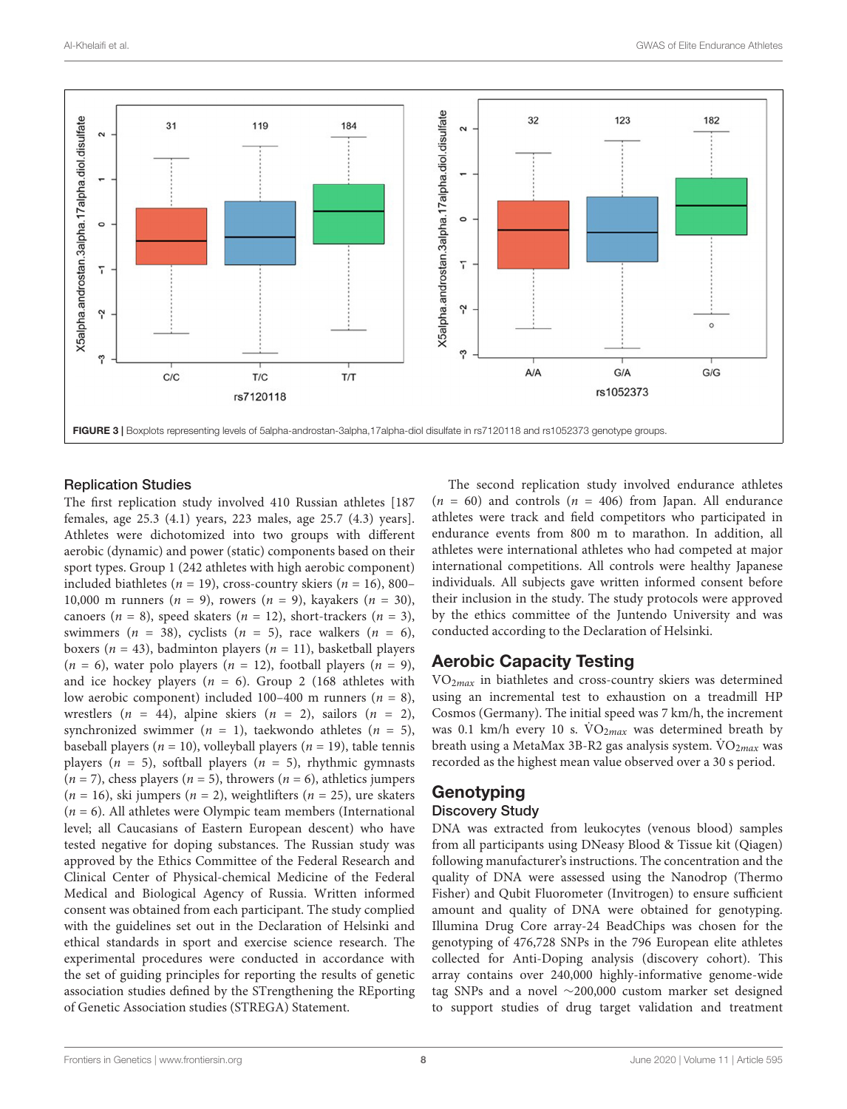

### <span id="page-7-0"></span>Replication Studies

The first replication study involved 410 Russian athletes [187 females, age 25.3 (4.1) years, 223 males, age 25.7 (4.3) years]. Athletes were dichotomized into two groups with different aerobic (dynamic) and power (static) components based on their sport types. Group 1 (242 athletes with high aerobic component) included biathletes ( $n = 19$ ), cross-country skiers ( $n = 16$ ), 800– 10,000 m runners ( $n = 9$ ), rowers ( $n = 9$ ), kayakers ( $n = 30$ ), canoers ( $n = 8$ ), speed skaters ( $n = 12$ ), short-trackers ( $n = 3$ ), swimmers ( $n = 38$ ), cyclists ( $n = 5$ ), race walkers ( $n = 6$ ), boxers ( $n = 43$ ), badminton players ( $n = 11$ ), basketball players  $(n = 6)$ , water polo players  $(n = 12)$ , football players  $(n = 9)$ , and ice hockey players ( $n = 6$ ). Group 2 (168 athletes with low aerobic component) included 100–400 m runners ( $n = 8$ ), wrestlers  $(n = 44)$ , alpine skiers  $(n = 2)$ , sailors  $(n = 2)$ , synchronized swimmer ( $n = 1$ ), taekwondo athletes ( $n = 5$ ), baseball players ( $n = 10$ ), volleyball players ( $n = 19$ ), table tennis players ( $n = 5$ ), softball players ( $n = 5$ ), rhythmic gymnasts  $(n = 7)$ , chess players  $(n = 5)$ , throwers  $(n = 6)$ , athletics jumpers  $(n = 16)$ , ski jumpers  $(n = 2)$ , weightlifters  $(n = 25)$ , ure skaters  $(n = 6)$ . All athletes were Olympic team members (International level; all Caucasians of Eastern European descent) who have tested negative for doping substances. The Russian study was approved by the Ethics Committee of the Federal Research and Clinical Center of Physical-chemical Medicine of the Federal Medical and Biological Agency of Russia. Written informed consent was obtained from each participant. The study complied with the guidelines set out in the Declaration of Helsinki and ethical standards in sport and exercise science research. The experimental procedures were conducted in accordance with the set of guiding principles for reporting the results of genetic association studies defined by the STrengthening the REporting of Genetic Association studies (STREGA) Statement.

The second replication study involved endurance athletes  $(n = 60)$  and controls  $(n = 406)$  from Japan. All endurance athletes were track and field competitors who participated in endurance events from 800 m to marathon. In addition, all athletes were international athletes who had competed at major international competitions. All controls were healthy Japanese individuals. All subjects gave written informed consent before their inclusion in the study. The study protocols were approved by the ethics committee of the Juntendo University and was conducted according to the Declaration of Helsinki.

### Aerobic Capacity Testing

 $VO<sub>2max</sub>$  in biathletes and cross-country skiers was determined using an incremental test to exhaustion on a treadmill HP Cosmos (Germany). The initial speed was 7 km/h, the increment was 0.1 km/h every 10 s.  $\text{VO}_{2max}$  was determined breath by breath using a MetaMax 3B-R2 gas analysis system.  $\dot{V}O_{2max}$  was recorded as the highest mean value observed over a 30 s period.

### **Genotyping** Discovery Study

DNA was extracted from leukocytes (venous blood) samples from all participants using DNeasy Blood & Tissue kit (Qiagen) following manufacturer's instructions. The concentration and the quality of DNA were assessed using the Nanodrop (Thermo Fisher) and Qubit Fluorometer (Invitrogen) to ensure sufficient amount and quality of DNA were obtained for genotyping. Illumina Drug Core array-24 BeadChips was chosen for the genotyping of 476,728 SNPs in the 796 European elite athletes collected for Anti-Doping analysis (discovery cohort). This array contains over 240,000 highly-informative genome-wide tag SNPs and a novel ∼200,000 custom marker set designed to support studies of drug target validation and treatment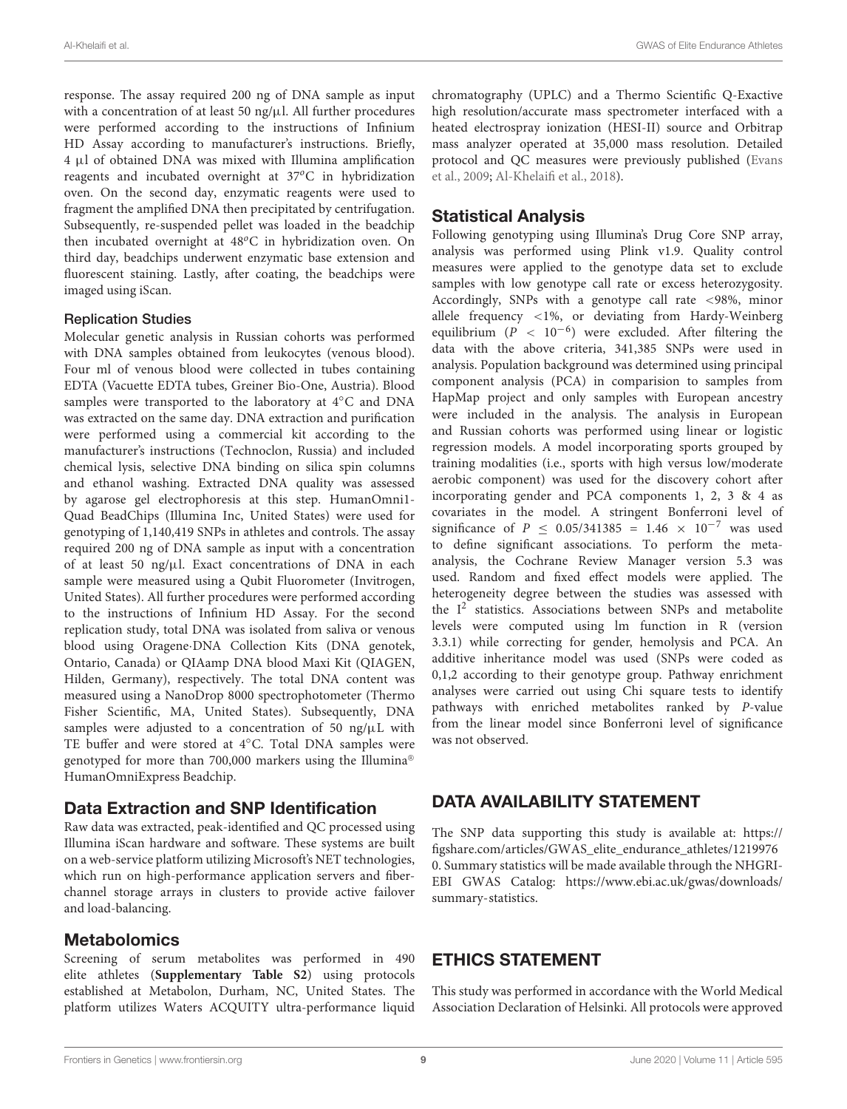response. The assay required 200 ng of DNA sample as input with a concentration of at least 50 ng/ $\mu$ l. All further procedures were performed according to the instructions of Infinium HD Assay according to manufacturer's instructions. Briefly, 4 µl of obtained DNA was mixed with Illumina amplification reagents and incubated overnight at  $37^{\circ}$ C in hybridization oven. On the second day, enzymatic reagents were used to fragment the amplified DNA then precipitated by centrifugation. Subsequently, re-suspended pellet was loaded in the beadchip then incubated overnight at 48°C in hybridization oven. On third day, beadchips underwent enzymatic base extension and fluorescent staining. Lastly, after coating, the beadchips were imaged using iScan.

### Replication Studies

Molecular genetic analysis in Russian cohorts was performed with DNA samples obtained from leukocytes (venous blood). Four ml of venous blood were collected in tubes containing EDTA (Vacuette EDTA tubes, Greiner Bio-One, Austria). Blood samples were transported to the laboratory at 4◦C and DNA was extracted on the same day. DNA extraction and purification were performed using a commercial kit according to the manufacturer's instructions (Technoclon, Russia) and included chemical lysis, selective DNA binding on silica spin columns and ethanol washing. Extracted DNA quality was assessed by agarose gel electrophoresis at this step. HumanOmni1- Quad BeadChips (Illumina Inc, United States) were used for genotyping of 1,140,419 SNPs in athletes and controls. The assay required 200 ng of DNA sample as input with a concentration of at least 50 ng/ $\mu$ l. Exact concentrations of DNA in each sample were measured using a Qubit Fluorometer (Invitrogen, United States). All further procedures were performed according to the instructions of Infinium HD Assay. For the second replication study, total DNA was isolated from saliva or venous blood using Oragene·DNA Collection Kits (DNA genotek, Ontario, Canada) or QIAamp DNA blood Maxi Kit (QIAGEN, Hilden, Germany), respectively. The total DNA content was measured using a NanoDrop 8000 spectrophotometer (Thermo Fisher Scientific, MA, United States). Subsequently, DNA samples were adjusted to a concentration of 50 ng/ $\mu$ L with TE buffer and were stored at 4◦C. Total DNA samples were genotyped for more than 700,000 markers using the Illumina® HumanOmniExpress Beadchip.

### Data Extraction and SNP Identification

Raw data was extracted, peak-identified and QC processed using Illumina iScan hardware and software. These systems are built on a web-service platform utilizing Microsoft's NET technologies, which run on high-performance application servers and fiberchannel storage arrays in clusters to provide active failover and load-balancing.

### Metabolomics

Screening of serum metabolites was performed in 490 elite athletes (**[Supplementary Table S2](#page-9-22)**) using protocols established at Metabolon, Durham, NC, United States. The platform utilizes Waters ACQUITY ultra-performance liquid

chromatography (UPLC) and a Thermo Scientific Q-Exactive high resolution/accurate mass spectrometer interfaced with a heated electrospray ionization (HESI-II) source and Orbitrap mass analyzer operated at 35,000 mass resolution. Detailed protocol and QC measures were previously published [\(Evans](#page-9-25) [et al.,](#page-9-25) [2009;](#page-9-25) [Al-Khelaifi et al.,](#page-9-7) [2018\)](#page-9-7).

### Statistical Analysis

Following genotyping using Illumina's Drug Core SNP array, analysis was performed using Plink v1.9. Quality control measures were applied to the genotype data set to exclude samples with low genotype call rate or excess heterozygosity. Accordingly, SNPs with a genotype call rate <98%, minor allele frequency <1%, or deviating from Hardy-Weinberg equilibrium ( $P$  < 10<sup>-6</sup>) were excluded. After filtering the data with the above criteria, 341,385 SNPs were used in analysis. Population background was determined using principal component analysis (PCA) in comparision to samples from HapMap project and only samples with European ancestry were included in the analysis. The analysis in European and Russian cohorts was performed using linear or logistic regression models. A model incorporating sports grouped by training modalities (i.e., sports with high versus low/moderate aerobic component) was used for the discovery cohort after incorporating gender and PCA components 1, 2, 3 & 4 as covariates in the model. A stringent Bonferroni level of significance of  $P \le 0.05/341385 = 1.46 \times 10^{-7}$  was used to define significant associations. To perform the metaanalysis, the Cochrane Review Manager version 5.3 was used. Random and fixed effect models were applied. The heterogeneity degree between the studies was assessed with the I<sup>2</sup> statistics. Associations between SNPs and metabolite levels were computed using lm function in R (version 3.3.1) while correcting for gender, hemolysis and PCA. An additive inheritance model was used (SNPs were coded as 0,1,2 according to their genotype group. Pathway enrichment analyses were carried out using Chi square tests to identify pathways with enriched metabolites ranked by P-value from the linear model since Bonferroni level of significance was not observed.

### DATA AVAILABILITY STATEMENT

The SNP data supporting this study is available at: [https://](https://figshare.com/articles/GWAS_elite_endurance_athletes/12199760) [figshare.com/articles/GWAS\\_elite\\_endurance\\_athletes/1219976](https://figshare.com/articles/GWAS_elite_endurance_athletes/12199760) [0.](https://figshare.com/articles/GWAS_elite_endurance_athletes/12199760) Summary statistics will be made available through the NHGRI-EBI GWAS Catalog: [https://www.ebi.ac.uk/gwas/downloads/](https://www.ebi.ac.uk/gwas/downloads/summary-statistics) [summary-statistics.](https://www.ebi.ac.uk/gwas/downloads/summary-statistics)

### ETHICS STATEMENT

This study was performed in accordance with the World Medical Association Declaration of Helsinki. All protocols were approved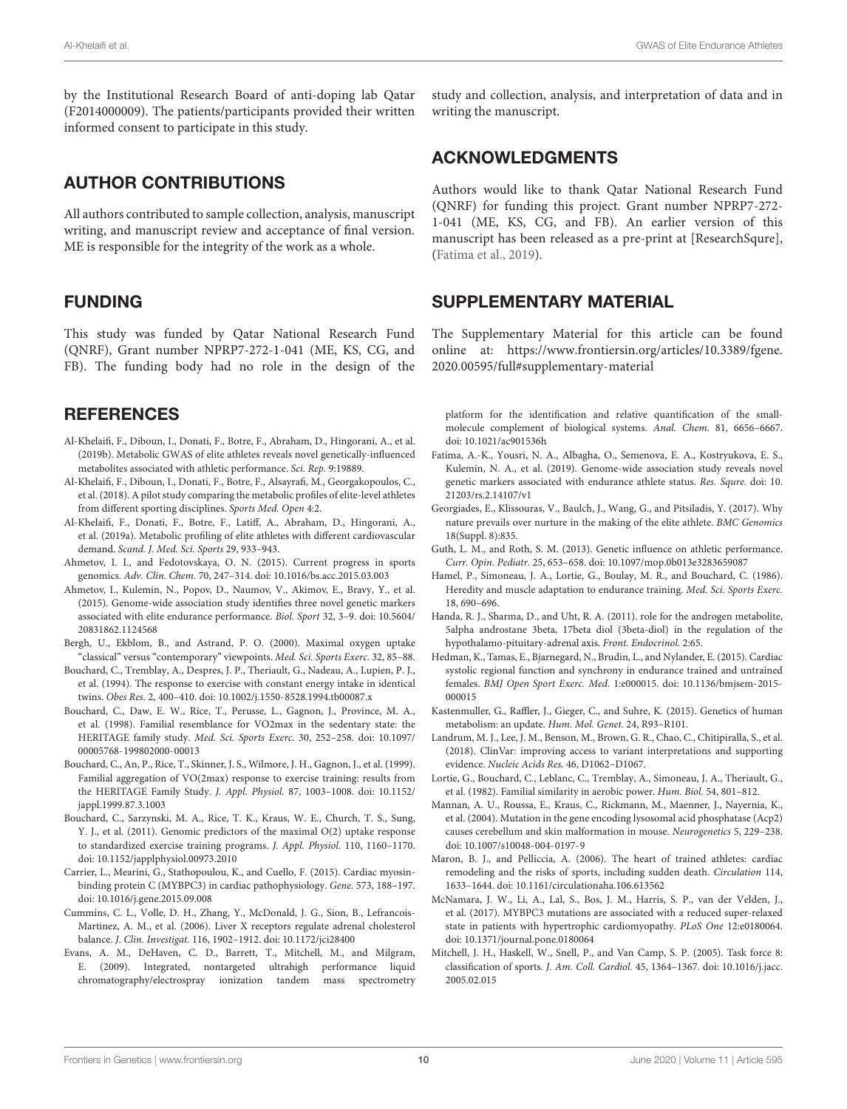by the Institutional Research Board of anti-doping lab Qatar (F2014000009). The patients/participants provided their written informed consent to participate in this study.

### AUTHOR CONTRIBUTIONS

All authors contributed to sample collection, analysis, manuscript writing, and manuscript review and acceptance of final version. ME is responsible for the integrity of the work as a whole.

### FUNDING

This study was funded by Qatar National Research Fund (QNRF), Grant number NPRP7-272-1-041 (ME, KS, CG, and FB). The funding body had no role in the design of the

### **REFERENCES**

- <span id="page-9-9"></span>Al-Khelaifi, F., Diboun, I., Donati, F., Botre, F., Abraham, D., Hingorani, A., et al. (2019b). Metabolic GWAS of elite athletes reveals novel genetically-influenced metabolites associated with athletic performance. Sci. Rep. 9:19889.
- <span id="page-9-7"></span>Al-Khelaifi, F., Diboun, I., Donati, F., Botre, F., Alsayrafi, M., Georgakopoulos, C., et al. (2018). A pilot study comparing the metabolic profiles of elite-level athletes from different sporting disciplines. Sports Med. Open 4:2.
- <span id="page-9-8"></span>Al-Khelaifi, F., Donati, F., Botre, F., Latiff, A., Abraham, D., Hingorani, A., et al. (2019a). Metabolic profiling of elite athletes with different cardiovascular demand. Scand. J. Med. Sci. Sports 29, 933–943.
- <span id="page-9-15"></span>Ahmetov, I. I., and Fedotovskaya, O. N. (2015). Current progress in sports genomics. Adv. Clin. Chem. 70, 247–314. [doi: 10.1016/bs.acc.2015.03.003](https://doi.org/10.1016/bs.acc.2015.03.003)
- <span id="page-9-5"></span>Ahmetov, I., Kulemin, N., Popov, D., Naumov, V., Akimov, E., Bravy, Y., et al. (2015). Genome-wide association study identifies three novel genetic markers associated with elite endurance performance. Biol. Sport 32, 3–9. [doi: 10.5604/](https://doi.org/10.5604/20831862.1124568) [20831862.1124568](https://doi.org/10.5604/20831862.1124568)
- <span id="page-9-1"></span>Bergh, U., Ekblom, B., and Astrand, P. O. (2000). Maximal oxygen uptake "classical" versus "contemporary" viewpoints. Med. Sci. Sports Exerc. 32, 85–88.
- <span id="page-9-12"></span>Bouchard, C., Tremblay, A., Despres, J. P., Theriault, G., Nadeau, A., Lupien, P. J., et al. (1994). The response to exercise with constant energy intake in identical twins. Obes Res. 2, 400–410. [doi: 10.1002/j.1550-8528.1994.tb00087.x](https://doi.org/10.1002/j.1550-8528.1994.tb00087.x)
- <span id="page-9-3"></span>Bouchard, C., Daw, E. W., Rice, T., Perusse, L., Gagnon, J., Province, M. A., et al. (1998). Familial resemblance for VO2max in the sedentary state: the HERITAGE family study. Med. Sci. Sports Exerc. 30, 252–258. [doi: 10.1097/](https://doi.org/10.1097/00005768-199802000-00013) [00005768-199802000-00013](https://doi.org/10.1097/00005768-199802000-00013)
- <span id="page-9-13"></span>Bouchard, C., An, P., Rice, T., Skinner, J. S., Wilmore, J. H., Gagnon, J., et al. (1999). Familial aggregation of VO(2max) response to exercise training: results from the HERITAGE Family Study. J. Appl. Physiol. 87, 1003–1008. [doi: 10.1152/](https://doi.org/10.1152/jappl.1999.87.3.1003) [jappl.1999.87.3.1003](https://doi.org/10.1152/jappl.1999.87.3.1003)
- <span id="page-9-4"></span>Bouchard, C., Sarzynski, M. A., Rice, T. K., Kraus, W. E., Church, T. S., Sung, Y. J., et al. (2011). Genomic predictors of the maximal O(2) uptake response to standardized exercise training programs. J. Appl. Physiol. 110, 1160–1170. [doi: 10.1152/japplphysiol.00973.2010](https://doi.org/10.1152/japplphysiol.00973.2010)
- <span id="page-9-21"></span>Carrier, L., Mearini, G., Stathopoulou, K., and Cuello, F. (2015). Cardiac myosinbinding protein C (MYBPC3) in cardiac pathophysiology. Gene. 573, 188–197. [doi: 10.1016/j.gene.2015.09.008](https://doi.org/10.1016/j.gene.2015.09.008)
- <span id="page-9-23"></span>Cummins, C. L., Volle, D. H., Zhang, Y., McDonald, J. G., Sion, B., Lefrancois-Martinez, A. M., et al. (2006). Liver X receptors regulate adrenal cholesterol balance. J. Clin. Investigat. 116, 1902–1912. [doi: 10.1172/jci28400](https://doi.org/10.1172/jci28400)
- <span id="page-9-25"></span>Evans, A. M., DeHaven, C. D., Barrett, T., Mitchell, M., and Milgram, E. (2009). Integrated, nontargeted ultrahigh performance liquid chromatography/electrospray ionization tandem mass spectrometry

study and collection, analysis, and interpretation of data and in writing the manuscript.

### ACKNOWLEDGMENTS

Authors would like to thank Qatar National Research Fund (QNRF) for funding this project. Grant number NPRP7-272- 1-041 (ME, KS, CG, and FB). An earlier version of this manuscript has been released as a pre-print at [ResearchSqure], [\(Fatima et al.,](#page-9-26) [2019\)](#page-9-26).

### <span id="page-9-22"></span>SUPPLEMENTARY MATERIAL

The Supplementary Material for this article can be found online at: [https://www.frontiersin.org/articles/10.3389/fgene.](https://www.frontiersin.org/articles/10.3389/fgene.2020.00595/full#supplementary-material) [2020.00595/full#supplementary-material](https://www.frontiersin.org/articles/10.3389/fgene.2020.00595/full#supplementary-material)

platform for the identification and relative quantification of the smallmolecule complement of biological systems. Anal. Chem. 81, 6656–6667. [doi: 10.1021/ac901536h](https://doi.org/10.1021/ac901536h)

- <span id="page-9-26"></span>Fatima, A.-K., Yousri, N. A., Albagha, O., Semenova, E. A., Kostryukova, E. S., Kulemin, N. A., et al. (2019). Genome-wide association study reveals novel genetic markers associated with endurance athlete status. Res. Squre. [doi: 10.](https://doi.org/10.21203/rs.2.14107/v1) [21203/rs.2.14107/v1](https://doi.org/10.21203/rs.2.14107/v1)
- <span id="page-9-0"></span>Georgiades, E., Klissouras, V., Baulch, J., Wang, G., and Pitsiladis, Y. (2017). Why nature prevails over nurture in the making of the elite athlete. BMC Genomics 18(Suppl. 8):835.
- <span id="page-9-14"></span>Guth, L. M., and Roth, S. M. (2013). Genetic influence on athletic performance. Curr. Opin. Pediatr. 25, 653–658. [doi: 10.1097/mop.0b013e3283659087](https://doi.org/10.1097/mop.0b013e3283659087)
- <span id="page-9-11"></span>Hamel, P., Simoneau, J. A., Lortie, G., Boulay, M. R., and Bouchard, C. (1986). Heredity and muscle adaptation to endurance training. Med. Sci. Sports Exerc. 18, 690–696.
- <span id="page-9-24"></span>Handa, R. J., Sharma, D., and Uht, R. A. (2011). role for the androgen metabolite, 5alpha androstane 3beta, 17beta diol (3beta-diol) in the regulation of the hypothalamo-pituitary-adrenal axis. Front. Endocrinol. 2:65.
- <span id="page-9-17"></span>Hedman, K., Tamas, E., Bjarnegard, N., Brudin, L., and Nylander, E. (2015). Cardiac systolic regional function and synchrony in endurance trained and untrained females. BMJ Open Sport Exerc. Med. 1:e000015. [doi: 10.1136/bmjsem-2015-](https://doi.org/10.1136/bmjsem-2015-000015) [000015](https://doi.org/10.1136/bmjsem-2015-000015)
- <span id="page-9-6"></span>Kastenmuller, G., Raffler, J., Gieger, C., and Suhre, K. (2015). Genetics of human metabolism: an update. Hum. Mol. Genet. 24, R93–R101.
- <span id="page-9-19"></span>Landrum, M. J., Lee, J. M., Benson, M., Brown, G. R., Chao, C., Chitipiralla, S., et al. (2018). ClinVar: improving access to variant interpretations and supporting evidence. Nucleic Acids Res. 46, D1062–D1067.
- <span id="page-9-10"></span>Lortie, G., Bouchard, C., Leblanc, C., Tremblay, A., Simoneau, J. A., Theriault, G., et al. (1982). Familial similarity in aerobic power. Hum. Biol. 54, 801–812.
- <span id="page-9-20"></span>Mannan, A. U., Roussa, E., Kraus, C., Rickmann, M., Maenner, J., Nayernia, K., et al. (2004). Mutation in the gene encoding lysosomal acid phosphatase (Acp2) causes cerebellum and skin malformation in mouse. Neurogenetics 5, 229–238. [doi: 10.1007/s10048-004-0197-9](https://doi.org/10.1007/s10048-004-0197-9)
- <span id="page-9-18"></span>Maron, B. J., and Pelliccia, A. (2006). The heart of trained athletes: cardiac remodeling and the risks of sports, including sudden death. Circulation 114, 1633–1644. [doi: 10.1161/circulationaha.106.613562](https://doi.org/10.1161/circulationaha.106.613562)
- <span id="page-9-16"></span>McNamara, J. W., Li, A., Lal, S., Bos, J. M., Harris, S. P., van der Velden, J., et al. (2017). MYBPC3 mutations are associated with a reduced super-relaxed state in patients with hypertrophic cardiomyopathy. PLoS One 12:e0180064. [doi: 10.1371/journal.pone.0180064](https://doi.org/10.1371/journal.pone.0180064)
- <span id="page-9-2"></span>Mitchell, J. H., Haskell, W., Snell, P., and Van Camp, S. P. (2005). Task force 8: classification of sports. J. Am. Coll. Cardiol. 45, 1364–1367. [doi: 10.1016/j.jacc.](https://doi.org/10.1016/j.jacc.2005.02.015) [2005.02.015](https://doi.org/10.1016/j.jacc.2005.02.015)